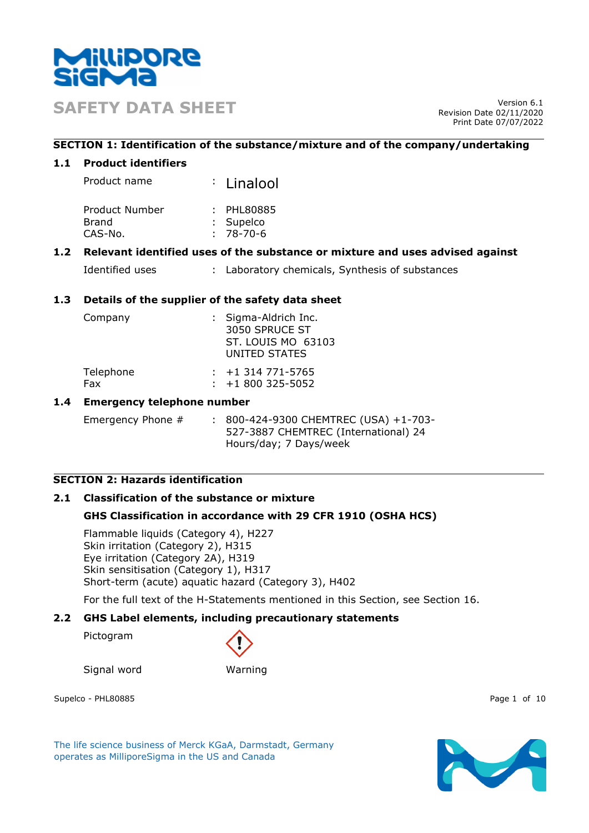

**SAFETY DATA SHEET** Version 6.1

Revision Date 02/11/2020 Print Date 07/07/2022

## **SECTION 1: Identification of the substance/mixture and of the company/undertaking**

## **1.1 Product identifiers**

| Product name | : Linalool |
|--------------|------------|
|              |            |

| Product Number | : PHL80885  |
|----------------|-------------|
| Brand          | : Supelco   |
| CAS-No.        | $: 78-70-6$ |

## **1.2 Relevant identified uses of the substance or mixture and uses advised against**

| Identified uses |  | Laboratory chemicals, Synthesis of substances |  |
|-----------------|--|-----------------------------------------------|--|
|-----------------|--|-----------------------------------------------|--|

## **1.3 Details of the supplier of the safety data sheet**

| Company   | : Sigma-Aldrich Inc.<br>3050 SPRUCE ST<br>UNITED STATES | ST. LOUIS MO 63103 |
|-----------|---------------------------------------------------------|--------------------|
| Telephone | $: +1314771 - 5765$                                     |                    |
| Fax       | $: +1800325 - 5052$                                     |                    |

## **1.4 Emergency telephone number**

Emergency Phone # : 800-424-9300 CHEMTREC (USA) +1-703-527-3887 CHEMTREC (International) 24 Hours/day; 7 Days/week

# **SECTION 2: Hazards identification**

### **2.1 Classification of the substance or mixture**

## **GHS Classification in accordance with 29 CFR 1910 (OSHA HCS)**

Flammable liquids (Category 4), H227 Skin irritation (Category 2), H315 Eye irritation (Category 2A), H319 Skin sensitisation (Category 1), H317 Short-term (acute) aquatic hazard (Category 3), H402

For the full text of the H-Statements mentioned in this Section, see Section 16.

### **2.2 GHS Label elements, including precautionary statements**

Pictogram



Signal word Warning

Supelco - PHL80885 Page 1 of 10

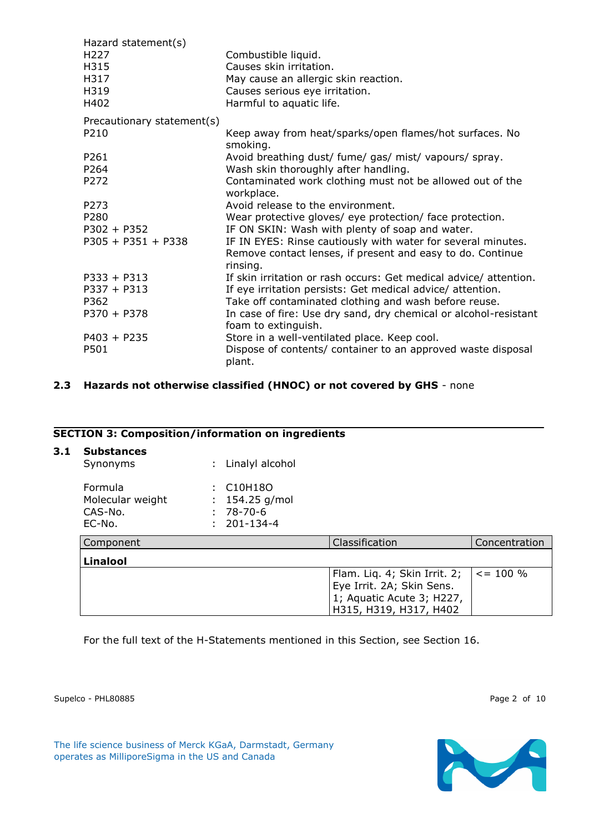| Hazard statement(s)        |                                                                         |
|----------------------------|-------------------------------------------------------------------------|
| H <sub>227</sub>           | Combustible liquid.                                                     |
| H315                       | Causes skin irritation.                                                 |
| H317                       | May cause an allergic skin reaction.                                    |
| H319                       | Causes serious eye irritation.                                          |
| H402                       | Harmful to aquatic life.                                                |
| Precautionary statement(s) |                                                                         |
| P <sub>210</sub>           | Keep away from heat/sparks/open flames/hot surfaces. No<br>smoking.     |
| P <sub>261</sub>           | Avoid breathing dust/ fume/ gas/ mist/ vapours/ spray.                  |
| P264                       | Wash skin thoroughly after handling.                                    |
| P272                       | Contaminated work clothing must not be allowed out of the<br>workplace. |
| P273                       | Avoid release to the environment.                                       |
| P280                       | Wear protective gloves/ eye protection/ face protection.                |
| $P302 + P352$              | IF ON SKIN: Wash with plenty of soap and water.                         |
| $P305 + P351 + P338$       | IF IN EYES: Rinse cautiously with water for several minutes.            |
|                            | Remove contact lenses, if present and easy to do. Continue<br>rinsing.  |
| $P333 + P313$              | If skin irritation or rash occurs: Get medical advice/attention.        |
| $P337 + P313$              | If eye irritation persists: Get medical advice/ attention.              |
| P362                       | Take off contaminated clothing and wash before reuse.                   |
| $P370 + P378$              | In case of fire: Use dry sand, dry chemical or alcohol-resistant        |
|                            | foam to extinguish.                                                     |
| $P403 + P235$              | Store in a well-ventilated place. Keep cool.                            |
| P501                       | Dispose of contents/ container to an approved waste disposal<br>plant.  |

## **2.3 Hazards not otherwise classified (HNOC) or not covered by GHS** - none

## **SECTION 3: Composition/information on ingredients**

| 3.1 | <b>Substances</b><br>Synonyms                    |   | Linalyl alcohol                                                             |                                                                                                                  |               |
|-----|--------------------------------------------------|---|-----------------------------------------------------------------------------|------------------------------------------------------------------------------------------------------------------|---------------|
|     | Formula<br>Molecular weight<br>CAS-No.<br>EC-No. | ÷ | C <sub>10</sub> H <sub>18</sub> O<br>154.25 $g/mol$<br>78-70-6<br>201-134-4 |                                                                                                                  |               |
|     | Component                                        |   |                                                                             | Classification                                                                                                   | Concentration |
|     | <b>Linalool</b>                                  |   |                                                                             |                                                                                                                  |               |
|     |                                                  |   |                                                                             | Flam. Liq. 4; Skin Irrit. 2;<br>Eye Irrit. 2A; Skin Sens.<br>1; Aquatic Acute 3; H227,<br>H315, H319, H317, H402 | $\le$ = 100 % |

For the full text of the H-Statements mentioned in this Section, see Section 16.

Supelco - PHL80885 Page 2 of 10

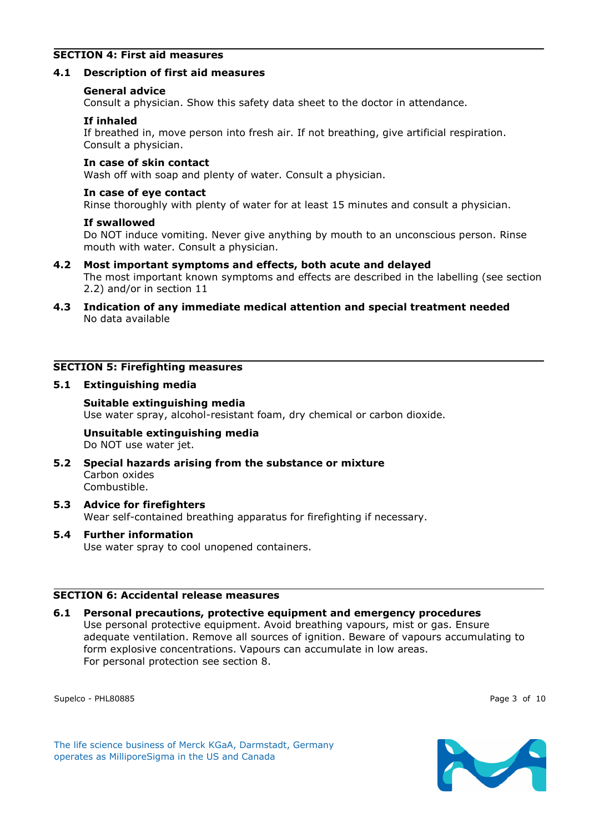## **SECTION 4: First aid measures**

### **4.1 Description of first aid measures**

#### **General advice**

Consult a physician. Show this safety data sheet to the doctor in attendance.

#### **If inhaled**

If breathed in, move person into fresh air. If not breathing, give artificial respiration. Consult a physician.

#### **In case of skin contact**

Wash off with soap and plenty of water. Consult a physician.

#### **In case of eye contact**

Rinse thoroughly with plenty of water for at least 15 minutes and consult a physician.

#### **If swallowed**

Do NOT induce vomiting. Never give anything by mouth to an unconscious person. Rinse mouth with water. Consult a physician.

**4.2 Most important symptoms and effects, both acute and delayed**

The most important known symptoms and effects are described in the labelling (see section 2.2) and/or in section 11

**4.3 Indication of any immediate medical attention and special treatment needed** No data available

## **SECTION 5: Firefighting measures**

#### **5.1 Extinguishing media**

**Suitable extinguishing media** Use water spray, alcohol-resistant foam, dry chemical or carbon dioxide.

### **Unsuitable extinguishing media** Do NOT use water jet.

- **5.2 Special hazards arising from the substance or mixture** Carbon oxides Combustible.
- **5.3 Advice for firefighters** Wear self-contained breathing apparatus for firefighting if necessary.

### **5.4 Further information**

Use water spray to cool unopened containers.

## **SECTION 6: Accidental release measures**

### **6.1 Personal precautions, protective equipment and emergency procedures** Use personal protective equipment. Avoid breathing vapours, mist or gas. Ensure adequate ventilation. Remove all sources of ignition. Beware of vapours accumulating to form explosive concentrations. Vapours can accumulate in low areas. For personal protection see section 8.

Supelco - PHL80885 Page 3 of 10



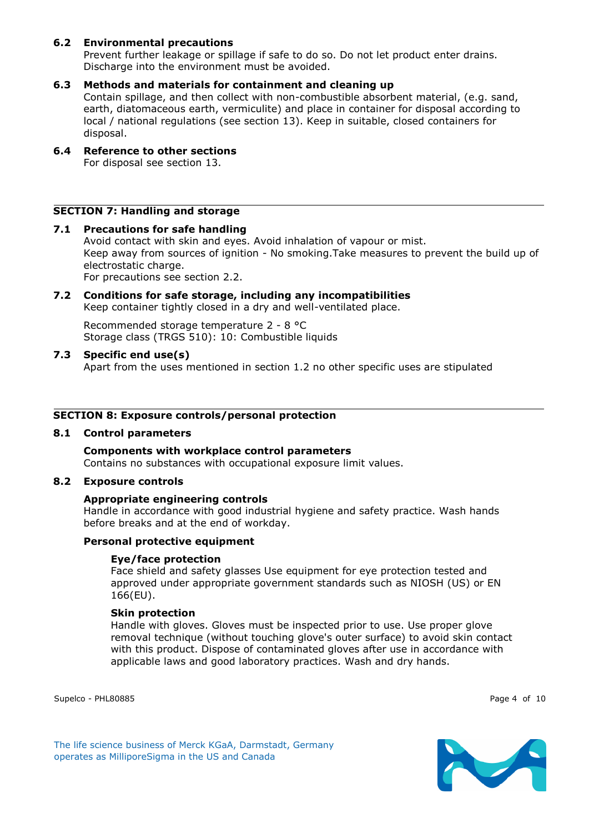## **6.2 Environmental precautions**

Prevent further leakage or spillage if safe to do so. Do not let product enter drains. Discharge into the environment must be avoided.

## **6.3 Methods and materials for containment and cleaning up**

Contain spillage, and then collect with non-combustible absorbent material, (e.g. sand, earth, diatomaceous earth, vermiculite) and place in container for disposal according to local / national regulations (see section 13). Keep in suitable, closed containers for disposal.

#### **6.4 Reference to other sections** For disposal see section 13.

### **SECTION 7: Handling and storage**

#### **7.1 Precautions for safe handling**

Avoid contact with skin and eyes. Avoid inhalation of vapour or mist. Keep away from sources of ignition - No smoking.Take measures to prevent the build up of electrostatic charge.

For precautions see section 2.2.

#### **7.2 Conditions for safe storage, including any incompatibilities** Keep container tightly closed in a dry and well-ventilated place.

Recommended storage temperature 2 - 8 °C Storage class (TRGS 510): 10: Combustible liquids

### **7.3 Specific end use(s)**

Apart from the uses mentioned in section 1.2 no other specific uses are stipulated

#### **SECTION 8: Exposure controls/personal protection**

### **8.1 Control parameters**

**Components with workplace control parameters** Contains no substances with occupational exposure limit values.

#### **8.2 Exposure controls**

### **Appropriate engineering controls**

Handle in accordance with good industrial hygiene and safety practice. Wash hands before breaks and at the end of workday.

### **Personal protective equipment**

### **Eye/face protection**

Face shield and safety glasses Use equipment for eye protection tested and approved under appropriate government standards such as NIOSH (US) or EN 166(EU).

### **Skin protection**

Handle with gloves. Gloves must be inspected prior to use. Use proper glove removal technique (without touching glove's outer surface) to avoid skin contact with this product. Dispose of contaminated gloves after use in accordance with applicable laws and good laboratory practices. Wash and dry hands.

Supelco - PHL80885 Page 4 of 10

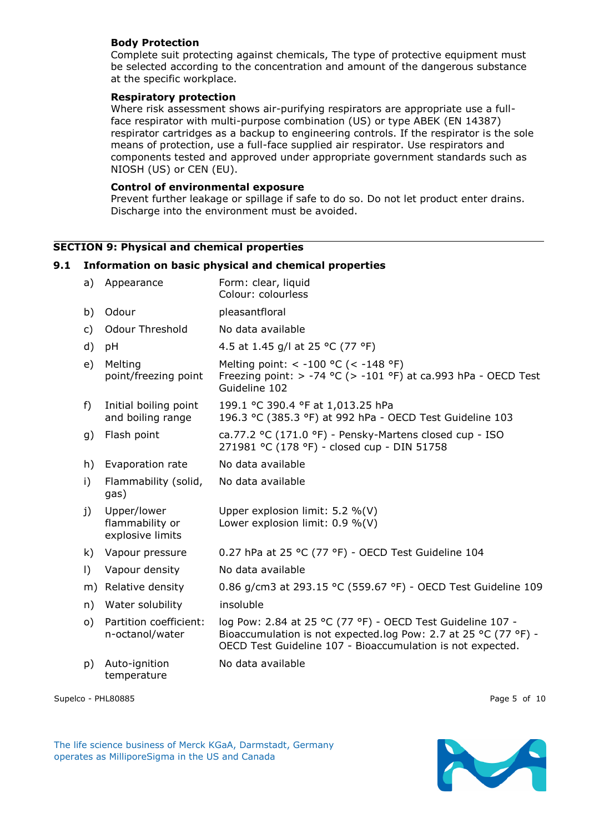## **Body Protection**

Complete suit protecting against chemicals, The type of protective equipment must be selected according to the concentration and amount of the dangerous substance at the specific workplace.

### **Respiratory protection**

Where risk assessment shows air-purifying respirators are appropriate use a fullface respirator with multi-purpose combination (US) or type ABEK (EN 14387) respirator cartridges as a backup to engineering controls. If the respirator is the sole means of protection, use a full-face supplied air respirator. Use respirators and components tested and approved under appropriate government standards such as NIOSH (US) or CEN (EU).

## **Control of environmental exposure**

Prevent further leakage or spillage if safe to do so. Do not let product enter drains. Discharge into the environment must be avoided.

## **SECTION 9: Physical and chemical properties**

### **9.1 Information on basic physical and chemical properties**

| a)        | Appearance                                         | Form: clear, liquid<br>Colour: colourless                                                                                                                                                   |
|-----------|----------------------------------------------------|---------------------------------------------------------------------------------------------------------------------------------------------------------------------------------------------|
| b)        | Odour                                              | pleasantfloral                                                                                                                                                                              |
| C)        | <b>Odour Threshold</b>                             | No data available                                                                                                                                                                           |
| d)        | pH                                                 | 4.5 at 1.45 g/l at 25 °C (77 °F)                                                                                                                                                            |
| e)        | Melting<br>point/freezing point                    | Melting point: < -100 °C (< -148 °F)<br>Freezing point: $> -74$ °C ( $> -101$ °F) at ca.993 hPa - OECD Test<br>Guideline 102                                                                |
| f)        | Initial boiling point<br>and boiling range         | 199.1 °C 390.4 °F at 1,013.25 hPa<br>196.3 °C (385.3 °F) at 992 hPa - OECD Test Guideline 103                                                                                               |
| g)        | Flash point                                        | ca.77.2 °C (171.0 °F) - Pensky-Martens closed cup - ISO<br>271981 °C (178 °F) - closed cup - DIN 51758                                                                                      |
| h)        | Evaporation rate                                   | No data available                                                                                                                                                                           |
| i)        | Flammability (solid,<br>gas)                       | No data available                                                                                                                                                                           |
| j)        | Upper/lower<br>flammability or<br>explosive limits | Upper explosion limit: $5.2 \%$ (V)<br>Lower explosion limit: $0.9 \%$ (V)                                                                                                                  |
| k)        | Vapour pressure                                    | 0.27 hPa at 25 °C (77 °F) - OECD Test Guideline 104                                                                                                                                         |
| $\vert$ ) | Vapour density                                     | No data available                                                                                                                                                                           |
| m)        | Relative density                                   | 0.86 g/cm3 at 293.15 °C (559.67 °F) - OECD Test Guideline 109                                                                                                                               |
| n)        | Water solubility                                   | insoluble                                                                                                                                                                                   |
| o)        | Partition coefficient:<br>n-octanol/water          | log Pow: 2.84 at 25 °C (77 °F) - OECD Test Guideline 107 -<br>Bioaccumulation is not expected.log Pow: 2.7 at 25 °C (77 °F) -<br>OECD Test Guideline 107 - Bioaccumulation is not expected. |
| p)        | Auto-ignition<br>temperature                       | No data available                                                                                                                                                                           |

Supelco - PHL80885 Page 5 of 10

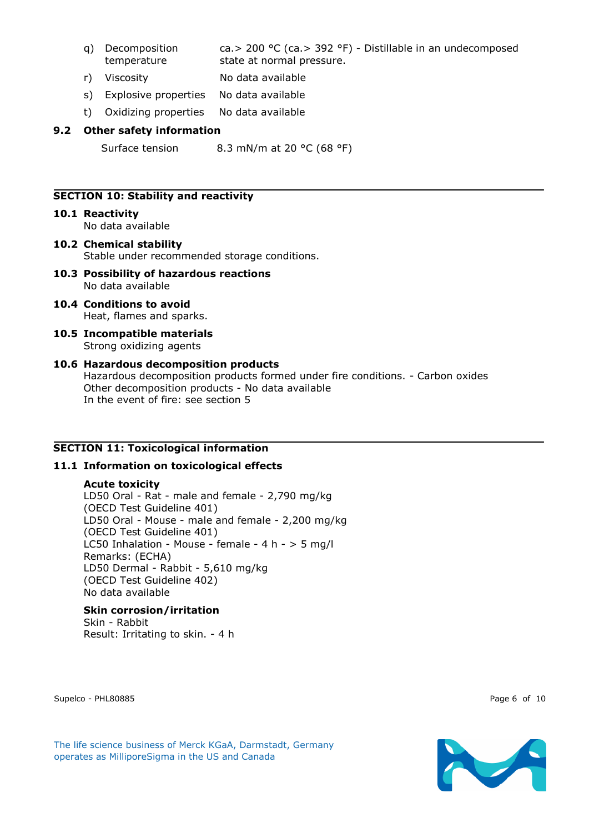- q) Decomposition temperature ca.> 200 °C (ca.> 392 °F) - Distillable in an undecomposed state at normal pressure.
- r) Viscosity No data available
- s) Explosive properties No data available
- t) Oxidizing properties No data available

## **9.2 Other safety information**

Surface tension 8.3 mN/m at 20 °C (68 °F)

## **SECTION 10: Stability and reactivity**

- **10.1 Reactivity** No data available
- **10.2 Chemical stability** Stable under recommended storage conditions.
- **10.3 Possibility of hazardous reactions** No data available
- **10.4 Conditions to avoid** Heat, flames and sparks.
- **10.5 Incompatible materials** Strong oxidizing agents
- **10.6 Hazardous decomposition products** Hazardous decomposition products formed under fire conditions. - Carbon oxides Other decomposition products - No data available In the event of fire: see section 5

# **SECTION 11: Toxicological information**

## **11.1 Information on toxicological effects**

### **Acute toxicity**

LD50 Oral - Rat - male and female - 2,790 mg/kg (OECD Test Guideline 401) LD50 Oral - Mouse - male and female - 2,200 mg/kg (OECD Test Guideline 401) LC50 Inhalation - Mouse - female - 4 h -  $>$  5 mg/l Remarks: (ECHA) LD50 Dermal - Rabbit - 5,610 mg/kg (OECD Test Guideline 402) No data available

## **Skin corrosion/irritation**

Skin - Rabbit Result: Irritating to skin. - 4 h

Supelco - PHL80885 Page 6 of 10

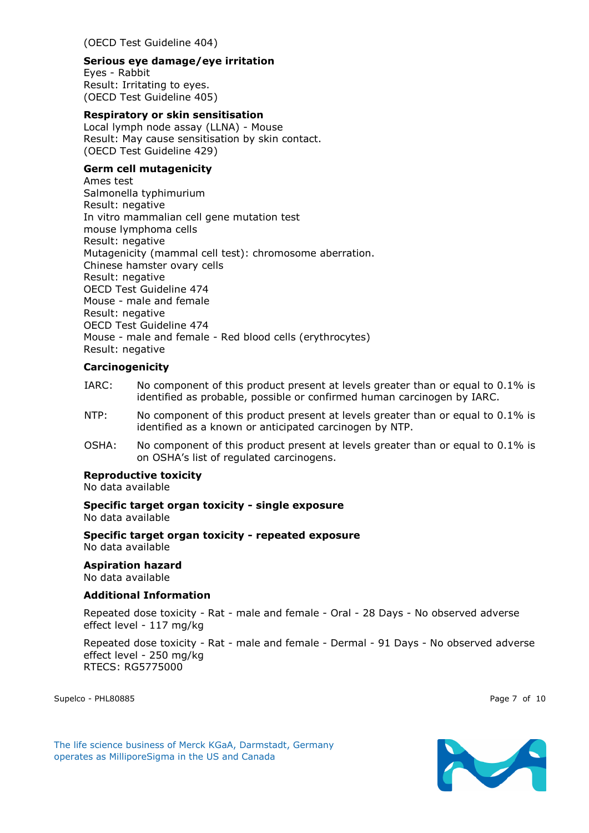(OECD Test Guideline 404)

### **Serious eye damage/eye irritation**

Eyes - Rabbit Result: Irritating to eyes. (OECD Test Guideline 405)

### **Respiratory or skin sensitisation**

Local lymph node assay (LLNA) - Mouse Result: May cause sensitisation by skin contact. (OECD Test Guideline 429)

## **Germ cell mutagenicity**

Ames test Salmonella typhimurium Result: negative In vitro mammalian cell gene mutation test mouse lymphoma cells Result: negative Mutagenicity (mammal cell test): chromosome aberration. Chinese hamster ovary cells Result: negative OECD Test Guideline 474 Mouse - male and female Result: negative OECD Test Guideline 474 Mouse - male and female - Red blood cells (erythrocytes) Result: negative

## **Carcinogenicity**

- IARC: No component of this product present at levels greater than or equal to 0.1% is identified as probable, possible or confirmed human carcinogen by IARC.
- NTP: No component of this product present at levels greater than or equal to 0.1% is identified as a known or anticipated carcinogen by NTP.
- OSHA: No component of this product present at levels greater than or equal to 0.1% is on OSHA's list of regulated carcinogens.

### **Reproductive toxicity**

No data available

#### **Specific target organ toxicity - single exposure** No data available

## **Specific target organ toxicity - repeated exposure**

No data available

## **Aspiration hazard**

No data available

### **Additional Information**

Repeated dose toxicity - Rat - male and female - Oral - 28 Days - No observed adverse effect level - 117 mg/kg

Repeated dose toxicity - Rat - male and female - Dermal - 91 Days - No observed adverse effect level - 250 mg/kg RTECS: RG5775000

Supelco - PHL80885 Page 7 of 10

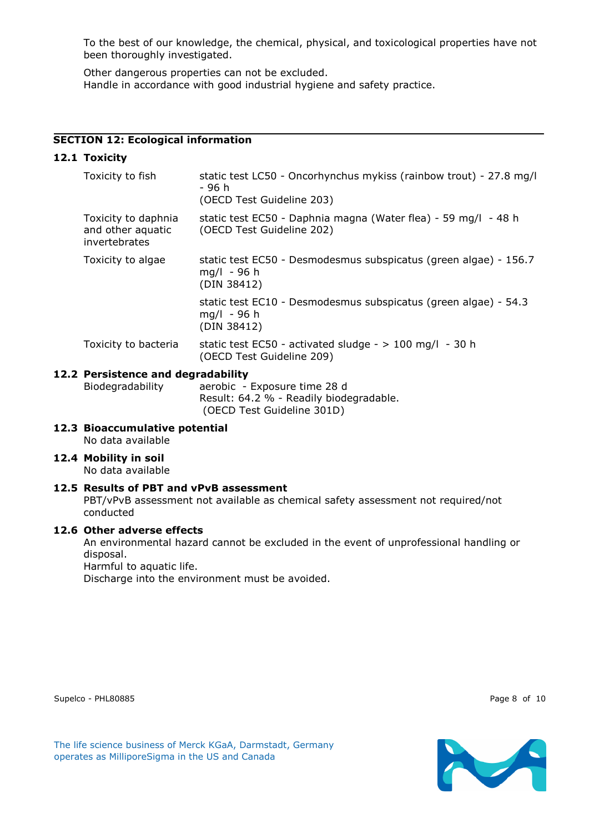To the best of our knowledge, the chemical, physical, and toxicological properties have not been thoroughly investigated.

Other dangerous properties can not be excluded. Handle in accordance with good industrial hygiene and safety practice.

## **SECTION 12: Ecological information**

## **12.1 Toxicity**

| Toxicity to fish                                          | static test LC50 - Oncorhynchus mykiss (rainbow trout) - 27.8 mg/l<br>- 96 h<br>(OECD Test Guideline 203) |
|-----------------------------------------------------------|-----------------------------------------------------------------------------------------------------------|
| Toxicity to daphnia<br>and other aquatic<br>invertebrates | static test EC50 - Daphnia magna (Water flea) - 59 mg/l - 48 h<br>(OECD Test Guideline 202)               |
| Toxicity to algae                                         | static test EC50 - Desmodesmus subspicatus (green algae) - 156.7<br>$mq/l - 96 h$<br>(DIN 38412)          |
|                                                           | static test EC10 - Desmodesmus subspicatus (green algae) - 54.3<br>$mq/l - 96 h$<br>(DIN 38412)           |
| Toxicity to bacteria                                      | static test EC50 - activated sludge - $> 100$ mg/l - 30 h<br>(OECD Test Guideline 209)                    |

## **12.2 Persistence and degradability**

Biodegradability aerobic - Exposure time 28 d Result: 64.2 % - Readily biodegradable. (OECD Test Guideline 301D)

- **12.3 Bioaccumulative potential**
	- No data available
- **12.4 Mobility in soil**

No data available

### **12.5 Results of PBT and vPvB assessment**

PBT/vPvB assessment not available as chemical safety assessment not required/not conducted

### **12.6 Other adverse effects**

An environmental hazard cannot be excluded in the event of unprofessional handling or disposal. Harmful to aquatic life.

Discharge into the environment must be avoided.

The life science business of Merck KGaA, Darmstadt, Germany

operates as MilliporeSigma in the US and Canada

Supelco - PHL80885 Page 8 of 10

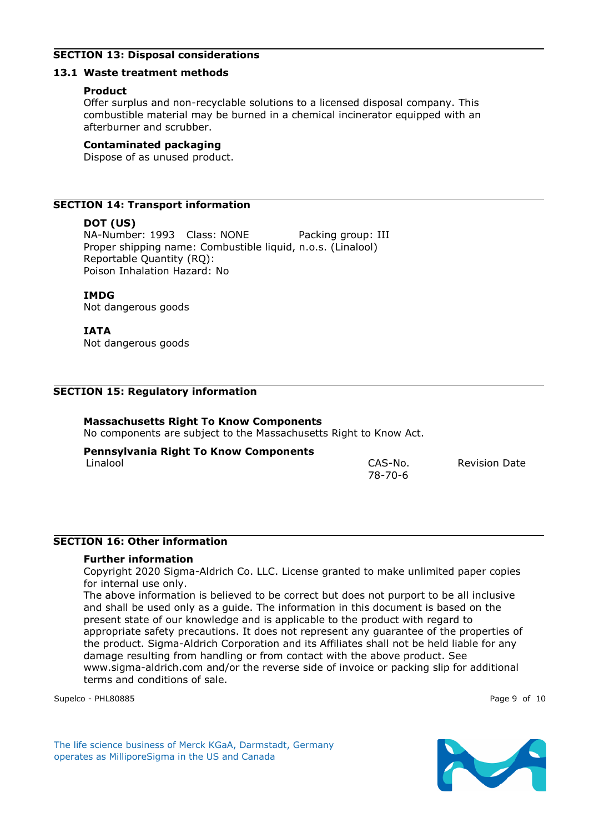## **SECTION 13: Disposal considerations**

## **13.1 Waste treatment methods**

## **Product**

Offer surplus and non-recyclable solutions to a licensed disposal company. This combustible material may be burned in a chemical incinerator equipped with an afterburner and scrubber.

## **Contaminated packaging**

Dispose of as unused product.

# **SECTION 14: Transport information**

# **DOT (US)**

NA-Number: 1993 Class: NONE Packing group: III Proper shipping name: Combustible liquid, n.o.s. (Linalool) Reportable Quantity (RQ): Poison Inhalation Hazard: No

# **IMDG**

Not dangerous goods

# **IATA**

Not dangerous goods

# **SECTION 15: Regulatory information**

# **Massachusetts Right To Know Components**

No components are subject to the Massachusetts Right to Know Act.

# **Pennsylvania Right To Know Components**

Linalool CAS-No. 78-70-6

Revision Date

## **SECTION 16: Other information**

## **Further information**

Copyright 2020 Sigma-Aldrich Co. LLC. License granted to make unlimited paper copies for internal use only.

The above information is believed to be correct but does not purport to be all inclusive and shall be used only as a guide. The information in this document is based on the present state of our knowledge and is applicable to the product with regard to appropriate safety precautions. It does not represent any guarantee of the properties of the product. Sigma-Aldrich Corporation and its Affiliates shall not be held liable for any damage resulting from handling or from contact with the above product. See www.sigma-aldrich.com and/or the reverse side of invoice or packing slip for additional terms and conditions of sale.

Supelco - PHL80885 Page 9 of 10